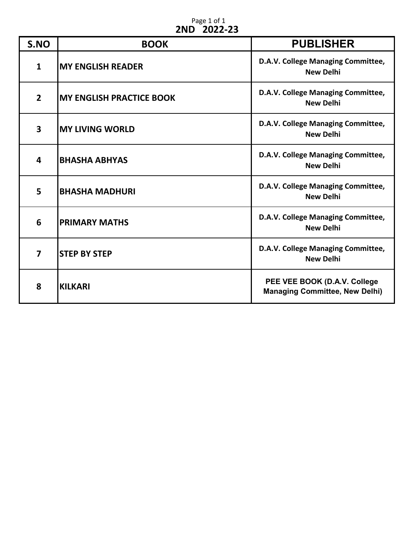## Page 1 of 1 **2ND 2022-23**

| S.NO           | <b>BOOK</b>                     | <b>PUBLISHER</b>                                                      |
|----------------|---------------------------------|-----------------------------------------------------------------------|
| $\mathbf{1}$   | <b>MY ENGLISH READER</b>        | D.A.V. College Managing Committee,<br><b>New Delhi</b>                |
| $\overline{2}$ | <b>MY ENGLISH PRACTICE BOOK</b> | D.A.V. College Managing Committee,<br><b>New Delhi</b>                |
| 3              | <b>MY LIVING WORLD</b>          | D.A.V. College Managing Committee,<br><b>New Delhi</b>                |
| 4              | <b>BHASHA ABHYAS</b>            | D.A.V. College Managing Committee,<br><b>New Delhi</b>                |
| 5              | <b>BHASHA MADHURI</b>           | D.A.V. College Managing Committee,<br><b>New Delhi</b>                |
| 6              | <b>PRIMARY MATHS</b>            | D.A.V. College Managing Committee,<br><b>New Delhi</b>                |
| 7              | <b>STEP BY STEP</b>             | D.A.V. College Managing Committee,<br><b>New Delhi</b>                |
| 8              | <b>KILKARI</b>                  | PEE VEE BOOK (D.A.V. College<br><b>Managing Committee, New Delhi)</b> |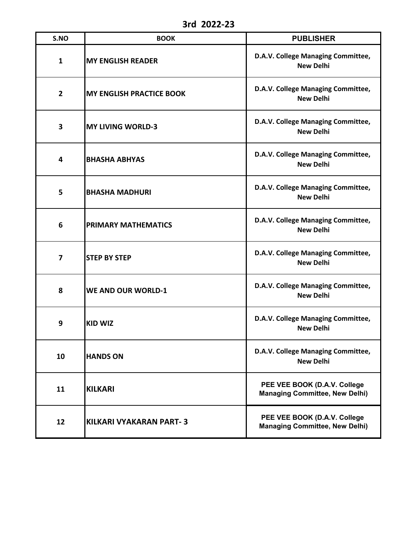**3rd 2022-23**

| S.NO           | <b>BOOK</b>                     | <b>PUBLISHER</b>                                                      |
|----------------|---------------------------------|-----------------------------------------------------------------------|
| $\mathbf{1}$   | <b>MY ENGLISH READER</b>        | D.A.V. College Managing Committee,<br><b>New Delhi</b>                |
| $\overline{2}$ | <b>MY ENGLISH PRACTICE BOOK</b> | D.A.V. College Managing Committee,<br><b>New Delhi</b>                |
| 3              | <b>MY LIVING WORLD-3</b>        | D.A.V. College Managing Committee,<br><b>New Delhi</b>                |
| 4              | <b>BHASHA ABHYAS</b>            | D.A.V. College Managing Committee,<br><b>New Delhi</b>                |
| 5              | <b>BHASHA MADHURI</b>           | D.A.V. College Managing Committee,<br><b>New Delhi</b>                |
| 6              | <b>PRIMARY MATHEMATICS</b>      | D.A.V. College Managing Committee,<br><b>New Delhi</b>                |
| $\overline{7}$ | <b>STEP BY STEP</b>             | D.A.V. College Managing Committee,<br><b>New Delhi</b>                |
| 8              | <b>WE AND OUR WORLD-1</b>       | D.A.V. College Managing Committee,<br><b>New Delhi</b>                |
| 9              | <b>KID WIZ</b>                  | D.A.V. College Managing Committee,<br><b>New Delhi</b>                |
| 10             | <b>HANDS ON</b>                 | D.A.V. College Managing Committee,<br><b>New Delhi</b>                |
| 11             | <b>KILKARI</b>                  | PEE VEE BOOK (D.A.V. College<br><b>Managing Committee, New Delhi)</b> |
| 12             | <b>KILKARI VYAKARAN PART-3</b>  | PEE VEE BOOK (D.A.V. College<br><b>Managing Committee, New Delhi)</b> |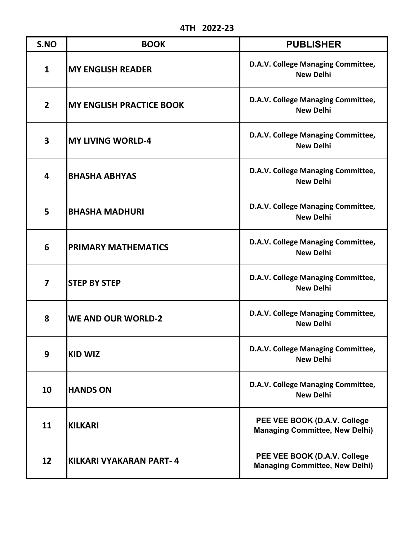**4TH 2022-23**

| S.NO                    | <b>BOOK</b>                     | <b>PUBLISHER</b>                                                      |
|-------------------------|---------------------------------|-----------------------------------------------------------------------|
| $\mathbf{1}$            | <b>MY ENGLISH READER</b>        | D.A.V. College Managing Committee,<br><b>New Delhi</b>                |
| $\overline{2}$          | <b>MY ENGLISH PRACTICE BOOK</b> | D.A.V. College Managing Committee,<br><b>New Delhi</b>                |
| 3                       | <b>MY LIVING WORLD-4</b>        | D.A.V. College Managing Committee,<br><b>New Delhi</b>                |
| 4                       | <b>BHASHA ABHYAS</b>            | D.A.V. College Managing Committee,<br><b>New Delhi</b>                |
| 5                       | <b>BHASHA MADHURI</b>           | D.A.V. College Managing Committee,<br><b>New Delhi</b>                |
| 6                       | <b>PRIMARY MATHEMATICS</b>      | D.A.V. College Managing Committee,<br><b>New Delhi</b>                |
| $\overline{\mathbf{z}}$ | <b>STEP BY STEP</b>             | D.A.V. College Managing Committee,<br><b>New Delhi</b>                |
| 8                       | <b>WE AND OUR WORLD-2</b>       | D.A.V. College Managing Committee,<br><b>New Delhi</b>                |
| 9                       | <b>KID WIZ</b>                  | D.A.V. College Managing Committee,<br><b>New Delhi</b>                |
| 10                      | <b>HANDS ON</b>                 | D.A.V. College Managing Committee,<br><b>New Delhi</b>                |
| 11                      | <b>KILKARI</b>                  | PEE VEE BOOK (D.A.V. College<br><b>Managing Committee, New Delhi)</b> |
| 12                      | KILKARI VYAKARAN PART-4         | PEE VEE BOOK (D.A.V. College<br><b>Managing Committee, New Delhi)</b> |